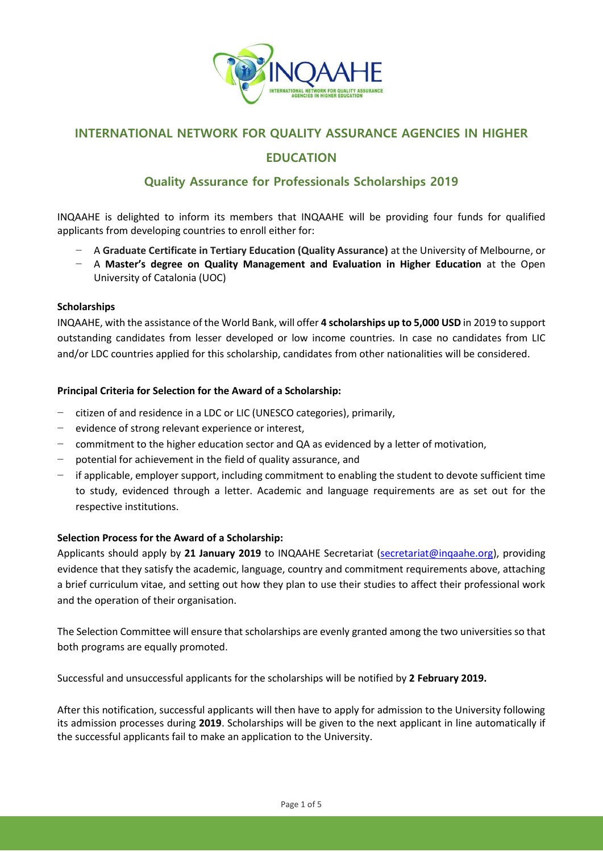

# **INTERNATIONAL NETWORK FOR QUALITY ASSURANCE AGENCIES IN HIGHER**

# **EDUCATION**

# **Quality Assurance for Professionals Scholarships 2019**

INQAAHE is delighted to inform its members that INQAAHE will be providing four funds for qualified applicants from developing countries to enroll either for:

- − A **Graduate Certificate in Tertiary Education (Quality Assurance)** at the University of Melbourne, or
- − A **Master's degree on Quality Management and Evaluation in Higher Education** at the Open University of Catalonia (UOC)

#### **Scholarships**

INQAAHE, with the assistance of the World Bank, will offer **4 scholarships up to 5,000 USD** in 2019 to support outstanding candidates from lesser developed or low income countries. In case no candidates from LIC and/or LDC countries applied for this scholarship, candidates from other nationalities will be considered.

# **Principal Criteria for Selection for the Award of a Scholarship:**

- − citizen of and residence in a LDC or LIC (UNESCO categories), primarily,
- − evidence of strong relevant experience or interest,
- − commitment to the higher education sector and QA as evidenced by a letter of motivation,
- − potential for achievement in the field of quality assurance, and
- − if applicable, employer support, including commitment to enabling the student to devote sufficient time to study, evidenced through a letter. Academic and language requirements are as set out for the respective institutions.

#### **Selection Process for the Award of a Scholarship:**

Applicants should apply by **21 January 2019** to INQAAHE Secretariat [\(secretariat@inqaahe.org\)](mailto:secretariat@inqaahe.org), providing evidence that they satisfy the academic, language, country and commitment requirements above, attaching a brief curriculum vitae, and setting out how they plan to use their studies to affect their professional work and the operation of their organisation.

The Selection Committee will ensure that scholarships are evenly granted among the two universities so that both programs are equally promoted.

Successful and unsuccessful applicants for the scholarships will be notified by **2 February 2019.**

After this notification, successful applicants will then have to apply for admission to the University following its admission processes during **2019**. Scholarships will be given to the next applicant in line automatically if the successful applicants fail to make an application to the University.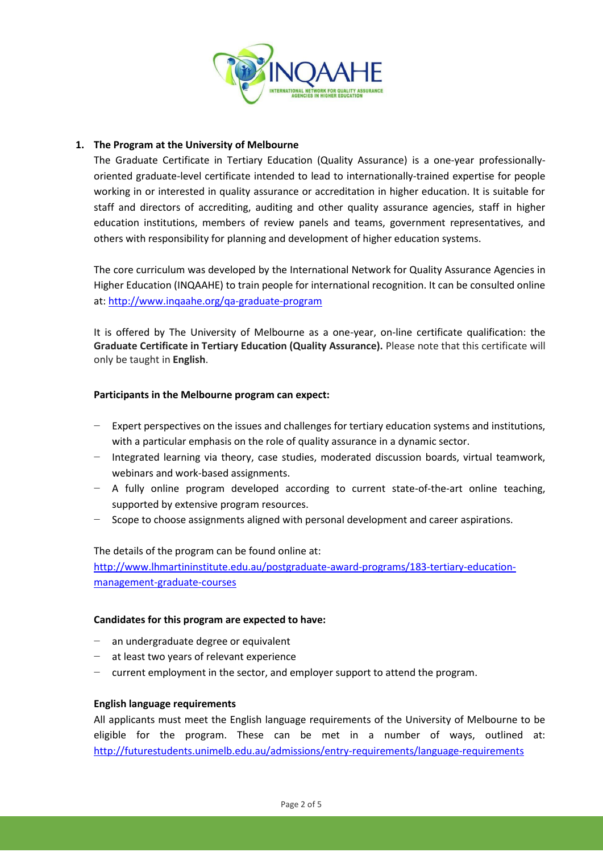

# **1. The Program at the University of Melbourne**

The Graduate Certificate in Tertiary Education (Quality Assurance) is a one-year professionallyoriented graduate-level certificate intended to lead to internationally-trained expertise for people working in or interested in quality assurance or accreditation in higher education. It is suitable for staff and directors of accrediting, auditing and other quality assurance agencies, staff in higher education institutions, members of review panels and teams, government representatives, and others with responsibility for planning and development of higher education systems.

The core curriculum was developed by the International Network for Quality Assurance Agencies in Higher Education (INQAAHE) to train people for international recognition. It can be consulted online at:<http://www.inqaahe.org/qa-graduate-program>

It is offered by The University of Melbourne as a one-year, on-line certificate qualification: the **Graduate Certificate in Tertiary Education (Quality Assurance).** Please note that this certificate will only be taught in **English**.

#### **Participants in the Melbourne program can expect:**

- − Expert perspectives on the issues and challenges for tertiary education systems and institutions, with a particular emphasis on the role of quality assurance in a dynamic sector.
- − Integrated learning via theory, case studies, moderated discussion boards, virtual teamwork, webinars and work-based assignments.
- − A fully online program developed according to current state-of-the-art online teaching, supported by extensive program resources.
- Scope to choose assignments aligned with personal development and career aspirations.

The details of the program can be found online at:

[http://www.lhmartininstitute.edu.au/postgraduate-award-programs/183-tertiary-education](http://www.lhmartininstitute.edu.au/postgraduate-award-programs/183-tertiary-education-management-graduate-courses)[management-graduate-courses](http://www.lhmartininstitute.edu.au/postgraduate-award-programs/183-tertiary-education-management-graduate-courses)

#### **Candidates for this program are expected to have:**

- an undergraduate degree or equivalent
- at least two years of relevant experience
- − current employment in the sector, and employer support to attend the program.

#### **English language requirements**

All applicants must meet the English language requirements of the University of Melbourne to be eligible for the program. These can be met in a number of ways, outlined at: <http://futurestudents.unimelb.edu.au/admissions/entry-requirements/language-requirements>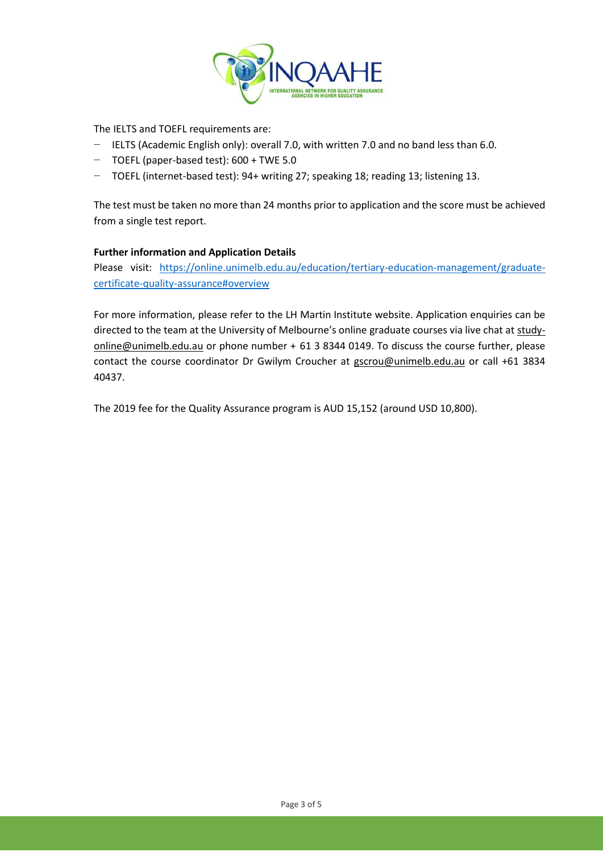

The IELTS and TOEFL requirements are:

- − IELTS (Academic English only): overall 7.0, with written 7.0 and no band less than 6.0.
- − TOEFL (paper-based test): 600 + TWE 5.0
- − TOEFL (internet-based test): 94+ writing 27; speaking 18; reading 13; listening 13.

The test must be taken no more than 24 months prior to application and the score must be achieved from a single test report.

# **Further information and Application Details**

Please visit: [https://online.unimelb.edu.au/education/tertiary-education-management/graduate](https://online.unimelb.edu.au/education/tertiary-education-management/graduate-certificate-quality-assurance#overview)[certificate-quality-assurance#overview](https://online.unimelb.edu.au/education/tertiary-education-management/graduate-certificate-quality-assurance#overview)

For more information, please refer to the LH Martin Institute website. Application enquiries can be directed to the team at the University of Melbourne's online graduate courses via live chat at [study](mailto:study-online@unimelb.edu.au)[online@unimelb.edu.au](mailto:study-online@unimelb.edu.au) or phone number + 61 3 8344 0149. To discuss the course further, please contact the course coordinator Dr Gwilym Croucher at [gscrou@unimelb.edu.au](mailto:gscrou@unimelb.edu.au) or call +61 3834 40437.

The 2019 fee for the Quality Assurance program is AUD 15,152 (around USD 10,800).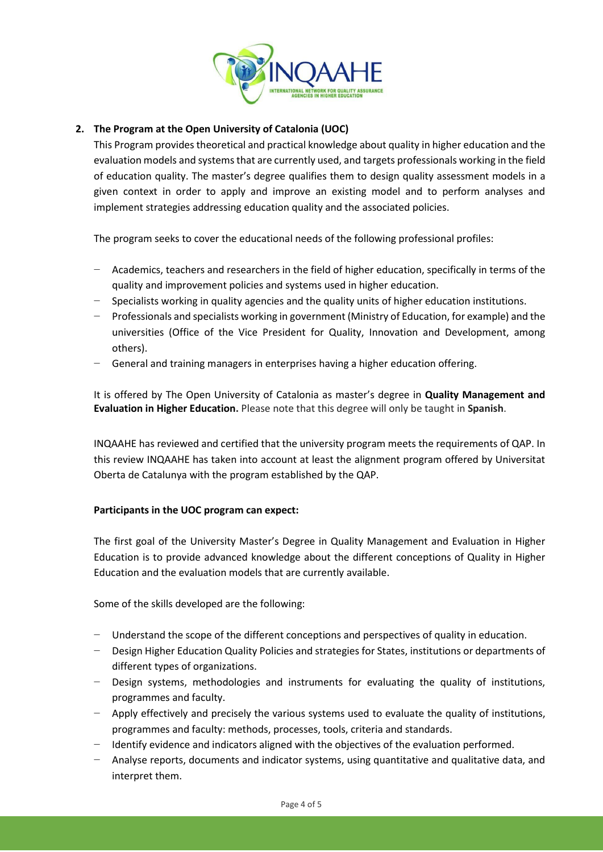

# **2. The Program at the Open University of Catalonia (UOC)**

This Program provides theoretical and practical knowledge about quality in higher education and the evaluation models and systems that are currently used, and targets professionals working in the field of education quality. The master's degree qualifies them to design quality assessment models in a given context in order to apply and improve an existing model and to perform analyses and implement strategies addressing education quality and the associated policies.

The program seeks to cover the educational needs of the following professional profiles:

- − Academics, teachers and researchers in the field of higher education, specifically in terms of the quality and improvement policies and systems used in higher education.
- Specialists working in quality agencies and the quality units of higher education institutions.
- − Professionals and specialists working in government (Ministry of Education, for example) and the universities (Office of the Vice President for Quality, Innovation and Development, among others).
- General and training managers in enterprises having a higher education offering.

It is offered by The Open University of Catalonia as master's degree in **Quality Management and Evaluation in Higher Education.** Please note that this degree will only be taught in **Spanish**.

INQAAHE has reviewed and certified that the university program meets the requirements of QAP. In this review INQAAHE has taken into account at least the alignment program offered by Universitat Oberta de Catalunya with the program established by the QAP.

#### **Participants in the UOC program can expect:**

The first goal of the University Master's Degree in Quality Management and Evaluation in Higher Education is to provide advanced knowledge about the different conceptions of Quality in Higher Education and the evaluation models that are currently available.

Some of the skills developed are the following:

- Understand the scope of the different conceptions and perspectives of quality in education.
- Design Higher Education Quality Policies and strategies for States, institutions or departments of different types of organizations.
- Design systems, methodologies and instruments for evaluating the quality of institutions, programmes and faculty.
- − Apply effectively and precisely the various systems used to evaluate the quality of institutions, programmes and faculty: methods, processes, tools, criteria and standards.
- − Identify evidence and indicators aligned with the objectives of the evaluation performed.
- − Analyse reports, documents and indicator systems, using quantitative and qualitative data, and interpret them.